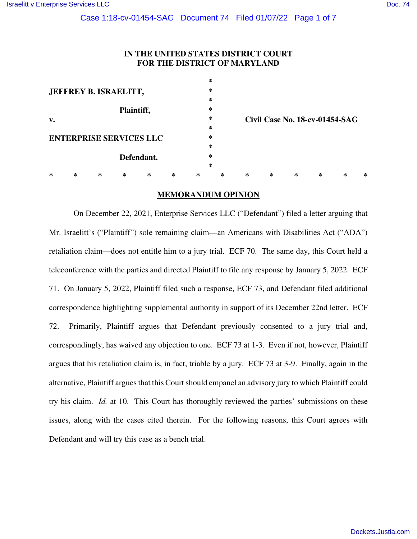# **IN THE UNITED STATES DISTRICT COURT FOR THE DISTRICT OF MARYLAND**

|                                |   |   |            |   |   |   | ∗      |   |                                |   |   |   |   |  |
|--------------------------------|---|---|------------|---|---|---|--------|---|--------------------------------|---|---|---|---|--|
| JEFFREY B. ISRAELITT,          |   |   |            |   |   |   | ∗      |   |                                |   |   |   |   |  |
|                                |   |   |            |   |   |   | ∗      |   |                                |   |   |   |   |  |
|                                |   |   | Plaintiff, |   |   |   | $\ast$ |   |                                |   |   |   |   |  |
| v.                             |   |   |            |   |   |   | ∗      |   | Civil Case No. 18-cv-01454-SAG |   |   |   |   |  |
|                                |   |   |            |   |   |   | ∗      |   |                                |   |   |   |   |  |
| <b>ENTERPRISE SERVICES LLC</b> |   |   |            |   |   |   | ∗      |   |                                |   |   |   |   |  |
|                                |   |   |            |   |   | ∗ |        |   |                                |   |   |   |   |  |
|                                |   |   | Defendant. |   |   | ∗ |        |   |                                |   |   |   |   |  |
|                                |   |   |            |   |   |   | ∗      |   |                                |   |   |   |   |  |
| ∗                              | ∗ | ∗ | ∗          | ∗ | ∗ | ∗ | ∗      | ∗ | ∗                              | ∗ | ∗ | ∗ | ∗ |  |

#### **MEMORANDUM OPINION**

On December 22, 2021, Enterprise Services LLC ("Defendant") filed a letter arguing that Mr. Israelitt's ("Plaintiff") sole remaining claim—an Americans with Disabilities Act ("ADA") retaliation claim—does not entitle him to a jury trial. ECF 70. The same day, this Court held a teleconference with the parties and directed Plaintiff to file any response by January 5, 2022. ECF 71. On January 5, 2022, Plaintiff filed such a response, ECF 73, and Defendant filed additional correspondence highlighting supplemental authority in support of its December 22nd letter. ECF 72. Primarily, Plaintiff argues that Defendant previously consented to a jury trial and, correspondingly, has waived any objection to one. ECF 73 at 1-3. Even if not, however, Plaintiff argues that his retaliation claim is, in fact, triable by a jury. ECF 73 at 3-9. Finally, again in the alternative, Plaintiff argues that this Court should empanel an advisory jury to which Plaintiff could try his claim. *Id.* at 10. This Court has thoroughly reviewed the parties' submissions on these issues, along with the cases cited therein. For the following reasons, this Court agrees with Defendant and will try this case as a bench trial.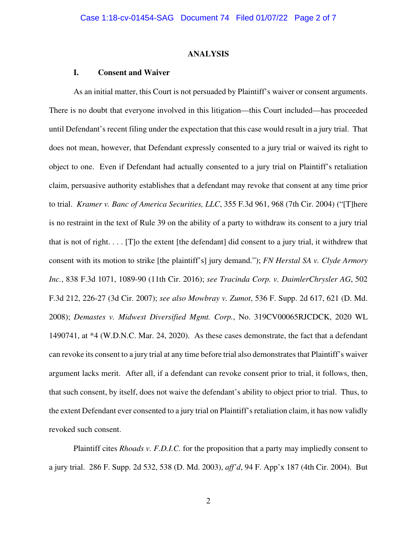#### **ANALYSIS**

#### **I. Consent and Waiver**

As an initial matter, this Court is not persuaded by Plaintiff's waiver or consent arguments. There is no doubt that everyone involved in this litigation—this Court included—has proceeded until Defendant's recent filing under the expectation that this case would result in a jury trial. That does not mean, however, that Defendant expressly consented to a jury trial or waived its right to object to one. Even if Defendant had actually consented to a jury trial on Plaintiff's retaliation claim, persuasive authority establishes that a defendant may revoke that consent at any time prior to trial. *Kramer v. Banc of America Securities, LLC*, 355 F.3d 961, 968 (7th Cir. 2004) ("[T]here is no restraint in the text of Rule 39 on the ability of a party to withdraw its consent to a jury trial that is not of right. . . . [T]o the extent [the defendant] did consent to a jury trial, it withdrew that consent with its motion to strike [the plaintiff's] jury demand."); *FN Herstal SA v. Clyde Armory Inc.*, 838 F.3d 1071, 1089-90 (11th Cir. 2016); *see Tracinda Corp. v. DaimlerChrysler AG*, 502 F.3d 212, 226-27 (3d Cir. 2007); *see also Mowbray v. Zumot*, 536 F. Supp. 2d 617, 621 (D. Md. 2008); *Demastes v. Midwest Diversified Mgmt. Corp.*, No. 319CV00065RJCDCK, 2020 WL 1490741, at \*4 (W.D.N.C. Mar. 24, 2020). As these cases demonstrate, the fact that a defendant can revoke its consent to a jury trial at any time before trial also demonstrates that Plaintiff's waiver argument lacks merit. After all, if a defendant can revoke consent prior to trial, it follows, then, that such consent, by itself, does not waive the defendant's ability to object prior to trial. Thus, to the extent Defendant ever consented to a jury trial on Plaintiff's retaliation claim, it has now validly revoked such consent.

Plaintiff cites *Rhoads v. F.D.I.C.* for the proposition that a party may impliedly consent to a jury trial. 286 F. Supp. 2d 532, 538 (D. Md. 2003), *aff'd*, 94 F. App'x 187 (4th Cir. 2004). But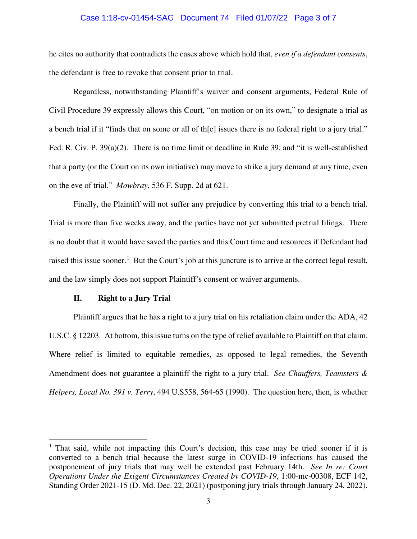### Case 1:18-cv-01454-SAG Document 74 Filed 01/07/22 Page 3 of 7

he cites no authority that contradicts the cases above which hold that, *even if a defendant consents*, the defendant is free to revoke that consent prior to trial.

Regardless, notwithstanding Plaintiff's waiver and consent arguments, Federal Rule of Civil Procedure 39 expressly allows this Court, "on motion or on its own," to designate a trial as a bench trial if it "finds that on some or all of th[e] issues there is no federal right to a jury trial." Fed. R. Civ. P. 39(a)(2). There is no time limit or deadline in Rule 39, and "it is well-established that a party (or the Court on its own initiative) may move to strike a jury demand at any time, even on the eve of trial." *Mowbray*, 536 F. Supp. 2d at 621.

 Finally, the Plaintiff will not suffer any prejudice by converting this trial to a bench trial. Trial is more than five weeks away, and the parties have not yet submitted pretrial filings. There is no doubt that it would have saved the parties and this Court time and resources if Defendant had raised this issue sooner.<sup>[1](#page-2-0)</sup> But the Court's job at this juncture is to arrive at the correct legal result, and the law simply does not support Plaintiff's consent or waiver arguments.

## **II. Right to a Jury Trial**

Plaintiff argues that he has a right to a jury trial on his retaliation claim under the ADA, 42 U.S.C. § 12203. At bottom, this issue turns on the type of relief available to Plaintiff on that claim. Where relief is limited to equitable remedies, as opposed to legal remedies, the Seventh Amendment does not guarantee a plaintiff the right to a jury trial. *See Chauffers, Teamsters & Helpers, Local No. 391 v. Terry*, 494 U.S558, 564-65 (1990). The question here, then, is whether

<span id="page-2-0"></span> $<sup>1</sup>$  That said, while not impacting this Court's decision, this case may be tried sooner if it is</sup> converted to a bench trial because the latest surge in COVID-19 infections has caused the postponement of jury trials that may well be extended past February 14th. *See In re: Court Operations Under the Exigent Circumstances Created by COVID-19*, 1:00-mc-00308, ECF 142, Standing Order 2021-15 (D. Md. Dec. 22, 2021) (postponing jury trials through January 24, 2022).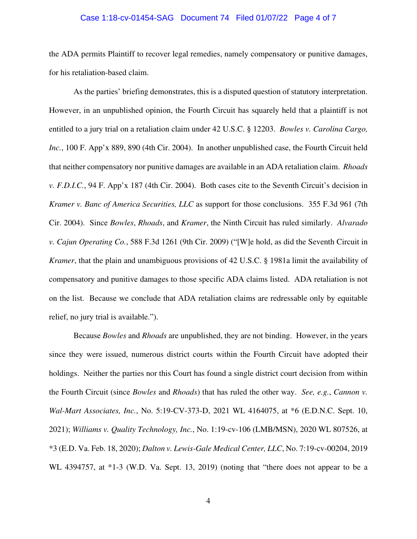#### Case 1:18-cv-01454-SAG Document 74 Filed 01/07/22 Page 4 of 7

the ADA permits Plaintiff to recover legal remedies, namely compensatory or punitive damages, for his retaliation-based claim.

As the parties' briefing demonstrates, this is a disputed question of statutory interpretation. However, in an unpublished opinion, the Fourth Circuit has squarely held that a plaintiff is not entitled to a jury trial on a retaliation claim under 42 U.S.C. § 12203. *Bowles v. Carolina Cargo, Inc.*, 100 F. App'x 889, 890 (4th Cir. 2004). In another unpublished case, the Fourth Circuit held that neither compensatory nor punitive damages are available in an ADA retaliation claim. *Rhoads v. F.D.I.C.*, 94 F. App'x 187 (4th Cir. 2004). Both cases cite to the Seventh Circuit's decision in *Kramer v. Banc of America Securities, LLC* as support for those conclusions. 355 F.3d 961 (7th Cir. 2004). Since *Bowles*, *Rhoads*, and *Kramer*, the Ninth Circuit has ruled similarly. *Alvarado v. Cajun Operating Co.*, 588 F.3d 1261 (9th Cir. 2009) ("[W]e hold, as did the Seventh Circuit in *Kramer*, that the plain and unambiguous provisions of 42 U.S.C. § 1981a limit the availability of compensatory and punitive damages to those specific ADA claims listed. ADA retaliation is not on the list. Because we conclude that ADA retaliation claims are redressable only by equitable relief, no jury trial is available.").

Because *Bowles* and *Rhoads* are unpublished, they are not binding. However, in the years since they were issued, numerous district courts within the Fourth Circuit have adopted their holdings. Neither the parties nor this Court has found a single district court decision from within the Fourth Circuit (since *Bowles* and *Rhoads*) that has ruled the other way. *See, e.g.*, *Cannon v. Wal-Mart Associates, Inc.*, No. 5:19-CV-373-D, 2021 WL 4164075, at \*6 (E.D.N.C. Sept. 10, 2021); *Williams v. Quality Technology, Inc.*, No. 1:19-cv-106 (LMB/MSN), 2020 WL 807526, at \*3 (E.D. Va. Feb. 18, 2020); *Dalton v. Lewis-Gale Medical Center, LLC*, No. 7:19-cv-00204, 2019 WL 4394757, at \*1-3 (W.D. Va. Sept. 13, 2019) (noting that "there does not appear to be a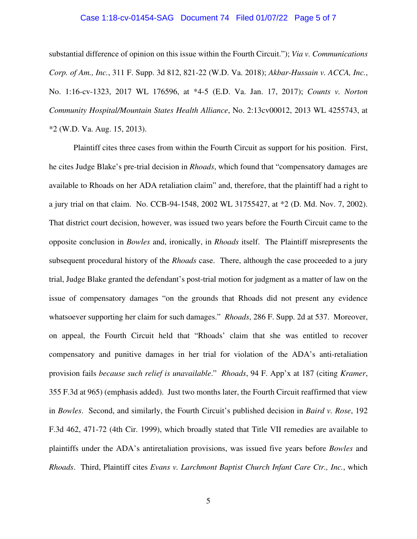#### Case 1:18-cv-01454-SAG Document 74 Filed 01/07/22 Page 5 of 7

substantial difference of opinion on this issue within the Fourth Circuit."); *Via v. Communications Corp. of Am., Inc.*, 311 F. Supp. 3d 812, 821-22 (W.D. Va. 2018); *Akbar-Hussain v. ACCA, Inc.*, No. 1:16-cv-1323, 2017 WL 176596, at \*4-5 (E.D. Va. Jan. 17, 2017); *Counts v. Norton Community Hospital/Mountain States Health Alliance*, No. 2:13cv00012, 2013 WL 4255743, at \*2 (W.D. Va. Aug. 15, 2013).

Plaintiff cites three cases from within the Fourth Circuit as support for his position. First, he cites Judge Blake's pre-trial decision in *Rhoads*, which found that "compensatory damages are available to Rhoads on her ADA retaliation claim" and, therefore, that the plaintiff had a right to a jury trial on that claim. No. CCB-94-1548, 2002 WL 31755427, at \*2 (D. Md. Nov. 7, 2002). That district court decision, however, was issued two years before the Fourth Circuit came to the opposite conclusion in *Bowles* and, ironically, in *Rhoads* itself. The Plaintiff misrepresents the subsequent procedural history of the *Rhoads* case. There, although the case proceeded to a jury trial, Judge Blake granted the defendant's post-trial motion for judgment as a matter of law on the issue of compensatory damages "on the grounds that Rhoads did not present any evidence whatsoever supporting her claim for such damages." *Rhoads*, 286 F. Supp. 2d at 537. Moreover, on appeal, the Fourth Circuit held that "Rhoads' claim that she was entitled to recover compensatory and punitive damages in her trial for violation of the ADA's anti-retaliation provision fails *because such relief is unavailable*." *Rhoads*, 94 F. App'x at 187 (citing *Kramer*, 355 F.3d at 965) (emphasis added). Just two months later, the Fourth Circuit reaffirmed that view in *Bowles*. Second, and similarly, the Fourth Circuit's published decision in *Baird v. Rose*, 192 F.3d 462, 471-72 (4th Cir. 1999), which broadly stated that Title VII remedies are available to plaintiffs under the ADA's antiretaliation provisions, was issued five years before *Bowles* and *Rhoads*. Third, Plaintiff cites *Evans v. Larchmont Baptist Church Infant Care Ctr., Inc.*, which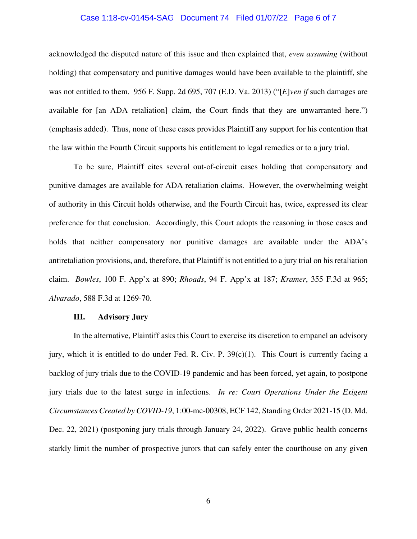## Case 1:18-cv-01454-SAG Document 74 Filed 01/07/22 Page 6 of 7

acknowledged the disputed nature of this issue and then explained that, *even assuming* (without holding) that compensatory and punitive damages would have been available to the plaintiff, she was not entitled to them. 956 F. Supp. 2d 695, 707 (E.D. Va. 2013) ("[*E*]*ven if* such damages are available for [an ADA retaliation] claim, the Court finds that they are unwarranted here.") (emphasis added). Thus, none of these cases provides Plaintiff any support for his contention that the law within the Fourth Circuit supports his entitlement to legal remedies or to a jury trial.

To be sure, Plaintiff cites several out-of-circuit cases holding that compensatory and punitive damages are available for ADA retaliation claims. However, the overwhelming weight of authority in this Circuit holds otherwise, and the Fourth Circuit has, twice, expressed its clear preference for that conclusion. Accordingly, this Court adopts the reasoning in those cases and holds that neither compensatory nor punitive damages are available under the ADA's antiretaliation provisions, and, therefore, that Plaintiff is not entitled to a jury trial on his retaliation claim. *Bowles*, 100 F. App'x at 890; *Rhoads*, 94 F. App'x at 187; *Kramer*, 355 F.3d at 965; *Alvarado*, 588 F.3d at 1269-70.

## **III. Advisory Jury**

In the alternative, Plaintiff asks this Court to exercise its discretion to empanel an advisory jury, which it is entitled to do under Fed. R. Civ. P. 39(c)(1). This Court is currently facing a backlog of jury trials due to the COVID-19 pandemic and has been forced, yet again, to postpone jury trials due to the latest surge in infections. *In re: Court Operations Under the Exigent Circumstances Created by COVID-19*, 1:00-mc-00308, ECF 142, Standing Order 2021-15 (D. Md. Dec. 22, 2021) (postponing jury trials through January 24, 2022). Grave public health concerns starkly limit the number of prospective jurors that can safely enter the courthouse on any given